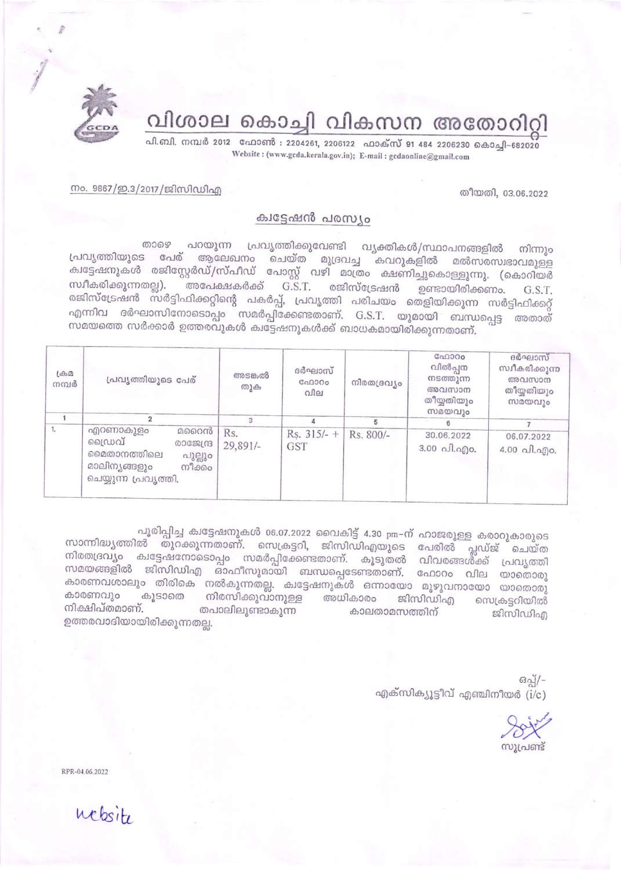

വിശാല കൊച്ചി വികസന അതോറിറ്റി

പി.ബി. നമ്പർ 2012 ഫോൺ : 2204261, 2206122 ഫാക്സ് 91 484 2206230 കൊച്ചി-682020 Website: (www.gcda.kerala.gov.in); E-mail: gcdaonline@gmail.com

തീയതി, 03.06.2022

നം. 9867/ഇ.3/2017/ജിസിഡിഎ

## ക്വട്ടേഷൻ പരസ്യം

പറയുന്ന പ്രവൃത്തിക്കുവേണ്ടി വൃക്തികൾ/സ്ഥാപനങ്ങളിൽ 00069 നിന്നും പ്രവൃത്തിയുടെ പേര് ആലേഖനം ചെയ്ത മുദ്രവച്ച കവറുകളിൽ മൽസരസ്വഭാവമുള്ള ക്വട്ടേഷനുകൾ രജിസ്റ്റേർഡ്/സ്പീഡ് പോസ്റ്റ് വഴി മാത്രം ക്ഷണിച്ചുകൊള്ളുന്നു. (കൊറിയർ അപേക്ഷകർക്ക്  $G.S.T.$ സ്ഥീകരിക്കുന്നതല്ല). രജിസ്ട്രേഷൻ ഉണ്ടായിരിക്കണം. G.S.T. രജിസ്ട്രേഷൻ സർട്ടിഫിക്കറ്റിന്റെ പകർപ്പ്, പ്രവൃത്തി പരിചയം തെളിയിക്കുന്ന സർട്ടിഫിക്കറ്റ് എന്നിവ ദർഘാസിനോടൊപ്പം സമർപ്പിക്കേണ്ടതാണ്. G.S.T. യുമായി ബന്ധപ്പെട്ട അതാത് ...<br>സമയത്തെ സർക്കാർ ഉത്തരവുകൾ കുട്ടേഷനുകൾക്ക് ബാധകമായിരിക്കുന്നതാണ്.

| $L \oplus D$<br>നമ്പർ | പ്രവൃത്തിയുടെ പേര്                                                                                                | അടങ്കൽ<br>തുക     | ദർഘാസ്<br>C <sub>00000</sub><br>വില | നിരതദ്രവ്യം | GAD300<br>വിൽപ്പന<br>നടത്തുന്ന<br>അവസാന<br>തീയ്യതിയും<br>സമയവും | ദർഘാസ്<br>സ്വീകരിക്കുന്ന<br>അവസാന<br>തീയ്യതിയും<br>സമയവും |
|-----------------------|-------------------------------------------------------------------------------------------------------------------|-------------------|-------------------------------------|-------------|-----------------------------------------------------------------|-----------------------------------------------------------|
|                       |                                                                                                                   | $\mathcal{R}$     |                                     |             |                                                                 |                                                           |
| 1.                    | എറണാകുളം<br>മറൈൻ<br>ഡൈവ്<br>രാജേന്ദ്ര<br>മൈതാനത്തിലെ<br>പുല്ലും<br>മാലിനൃങ്ങളും<br>നീക്കം<br>ചെയ്യുന്ന പ്രവൃത്തി. | Rs.<br>$29,891/-$ | $Rs. 315/- +$<br><b>GST</b>         | Rs. 800/-   | 30.06.2022<br>$3.00 \Omega$ .ano.                               | 06.07.2022<br>$4.00 \text{ }\Omega$ . $\Omega$ o.         |

പൂരിപ്പിച്ച ക്വട്ടേഷനുകൾ 06.07.2022 വൈകിട്ട് 4.30 pm-ന് ഹാജരുള്ള കരാറുകാരുടെ സാന്നിദ്ധ്യത്തിൽ തുറക്കുന്നതാണ്. സെക്രട്ടറി, ജിസിഡിഎയുടെ പേരിൽ പ്ലഡ്ജ് ചെയ്ത നിരതദ്രവ്യം ക്വട്ടേഷനോടൊപ്പം സമർപ്പിക്കേണ്ടതാണ്. കൂടുതൽ വിവരങ്ങൾക്ക് പ്രവൃത്തി സമയങ്ങളിൽ ജിസിഡിഎ ഓഫീസുമായി ബന്ധപ്പെടേണ്ടതാണ്. ഫോറം വില യാതൊരു കാരണവശാലും തിരികെ നൽകുന്നതല്ല. ക്വട്ടേഷനുകൾ ഒന്നായോ മുഴുവനായോ യാതൊരു കാരണവും കൂടാതെ നിരസിക്കുവാനുള്ള അധികാരം ജിസിഡിഎ സെക്രട്ടറിയിൽ നിക്ഷിപ്തമാണ്. തപാലിലുണ്ടാകുന്ന കാലതാമസത്തിന് ജിസിഡിഎ ഉത്തരവാദിയായിരിക്കുന്നതല്ല.

> ഒപ്പ്/-എക്സിക്യൂട്ടീവ് എഞ്ചിനീയർ ( $i/c$ )

സുപ്രണ്ട്

RPR-04.06.2022

website